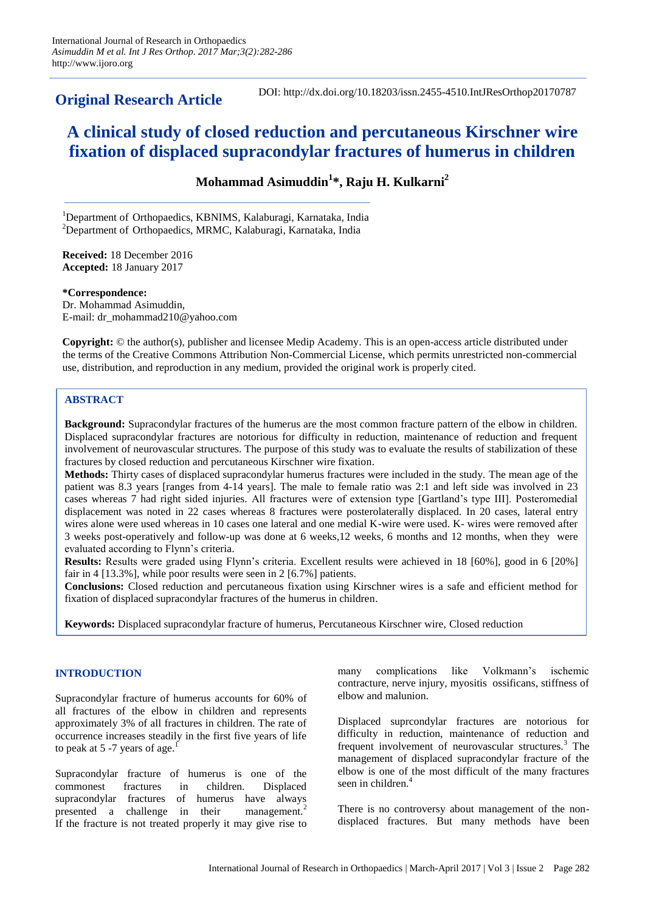**Original Research Article**

DOI: http://dx.doi.org/10.18203/issn.2455-4510.IntJResOrthop20170787

# **A clinical study of closed reduction and percutaneous Kirschner wire fixation of displaced supracondylar fractures of humerus in children**

**Mohammad Asimuddin<sup>1</sup> \*, Raju H. Kulkarni<sup>2</sup>**

<sup>1</sup>Department of Orthopaedics, KBNIMS, Kalaburagi, Karnataka, India <sup>2</sup>Department of Orthopaedics, MRMC, Kalaburagi, Karnataka, India

**Received:** 18 December 2016 **Accepted:** 18 January 2017

**\*Correspondence:** Dr. Mohammad Asimuddin, E-mail: dr\_mohammad210@yahoo.com

**Copyright:** © the author(s), publisher and licensee Medip Academy. This is an open-access article distributed under the terms of the Creative Commons Attribution Non-Commercial License, which permits unrestricted non-commercial use, distribution, and reproduction in any medium, provided the original work is properly cited.

# **ABSTRACT**

**Background:** Supracondylar fractures of the humerus are the most common fracture pattern of the elbow in children. Displaced supracondylar fractures are notorious for difficulty in reduction, maintenance of reduction and frequent involvement of neurovascular structures. The purpose of this study was to evaluate the results of stabilization of these fractures by closed reduction and percutaneous Kirschner wire fixation.

**Methods:** Thirty cases of displaced supracondylar humerus fractures were included in the study. The mean age of the patient was 8.3 years [ranges from 4-14 years]. The male to female ratio was 2:1 and left side was involved in 23 cases whereas 7 had right sided injuries. All fractures were of extension type [Gartland's type III]. Posteromedial displacement was noted in 22 cases whereas 8 fractures were posterolaterally displaced. In 20 cases, lateral entry wires alone were used whereas in 10 cases one lateral and one medial K-wire were used. K- wires were removed after 3 weeks post-operatively and follow-up was done at 6 weeks,12 weeks, 6 months and 12 months, when they were evaluated according to Flynn's criteria.

**Results:** Results were graded using Flynn's criteria. Excellent results were achieved in 18 [60%], good in 6 [20%] fair in 4 [13.3%], while poor results were seen in 2 [6.7%] patients.

**Conclusions:** Closed reduction and percutaneous fixation using Kirschner wires is a safe and efficient method for fixation of displaced supracondylar fractures of the humerus in children.

**Keywords:** Displaced supracondylar fracture of humerus, Percutaneous Kirschner wire, Closed reduction

# **INTRODUCTION**

Supracondylar fracture of humerus accounts for 60% of all fractures of the elbow in children and represents approximately 3% of all fractures in children. The rate of occurrence increases steadily in the first five years of life to peak at 5 -7 years of age.<sup>1</sup>

Supracondylar fracture of humerus is one of the commonest fractures in children. Displaced supracondylar fractures of humerus have always presented a challenge in their management.<sup>2</sup> If the fracture is not treated properly it may give rise to many complications like Volkmann's ischemic contracture, nerve injury, myositis ossificans, stiffness of elbow and malunion.

Displaced suprcondylar fractures are notorious for difficulty in reduction, maintenance of reduction and frequent involvement of neurovascular structures.<sup>3</sup> The management of displaced supracondylar fracture of the elbow is one of the most difficult of the many fractures seen in children.<sup>4</sup>

There is no controversy about management of the nondisplaced fractures. But many methods have been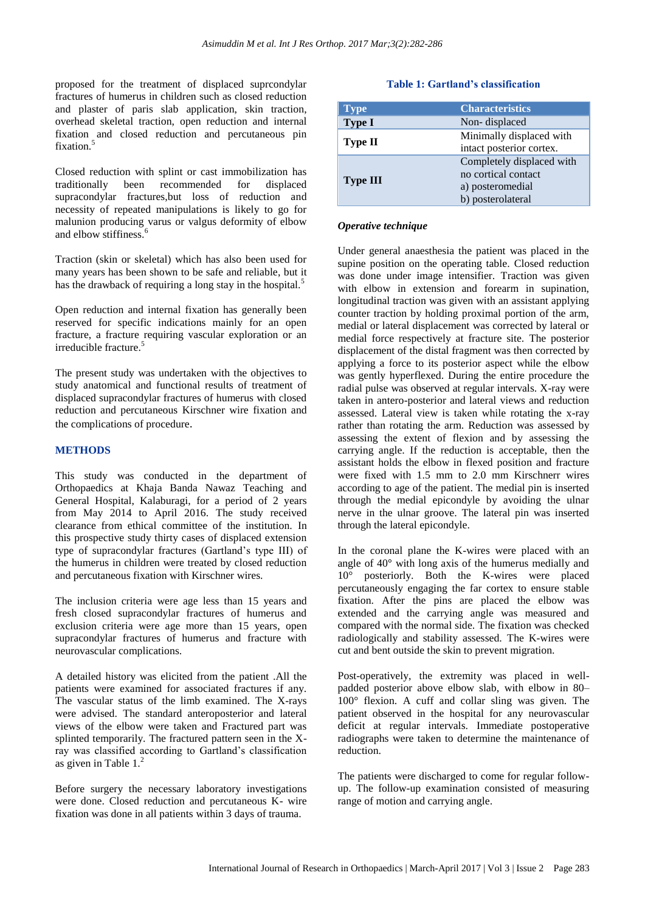proposed for the treatment of displaced suprcondylar fractures of humerus in children such as closed reduction and plaster of paris slab application, skin traction, overhead skeletal traction, open reduction and internal fixation and closed reduction and percutaneous pin fixation.<sup>5</sup>

Closed reduction with splint or cast immobilization has traditionally been recommended for displaced supracondylar fractures,but loss of reduction and necessity of repeated manipulations is likely to go for malunion producing varus or valgus deformity of elbow and elbow stiffiness.<sup>6</sup>

Traction (skin or skeletal) which has also been used for many years has been shown to be safe and reliable, but it has the drawback of requiring a long stay in the hospital.<sup>5</sup>

Open reduction and internal fixation has generally been reserved for specific indications mainly for an open fracture, a fracture requiring vascular exploration or an irreducible fracture.<sup>5</sup>

The present study was undertaken with the objectives to study anatomical and functional results of treatment of displaced supracondylar fractures of humerus with closed reduction and percutaneous Kirschner wire fixation and the complications of procedure.

## **METHODS**

This study was conducted in the department of Orthopaedics at Khaja Banda Nawaz Teaching and General Hospital, Kalaburagi, for a period of 2 years from May 2014 to April 2016. The study received clearance from ethical committee of the institution. In this prospective study thirty cases of displaced extension type of supracondylar fractures (Gartland's type III) of the humerus in children were treated by closed reduction and percutaneous fixation with Kirschner wires.

The inclusion criteria were age less than 15 years and fresh closed supracondylar fractures of humerus and exclusion criteria were age more than 15 years, open supracondylar fractures of humerus and fracture with neurovascular complications.

A detailed history was elicited from the patient .All the patients were examined for associated fractures if any. The vascular status of the limb examined. The X-rays were advised. The standard anteroposterior and lateral views of the elbow were taken and Fractured part was splinted temporarily. The fractured pattern seen in the Xray was classified according to Gartland's classification as given in Table  $1<sup>2</sup>$ 

Before surgery the necessary laboratory investigations were done. Closed reduction and percutaneous K- wire fixation was done in all patients within 3 days of trauma.

## **Table 1: Gartland's classification**

| <b>Type</b>     | <b>Characteristics</b>    |  |  |
|-----------------|---------------------------|--|--|
| <b>Type I</b>   | Non-displaced             |  |  |
| <b>Type II</b>  | Minimally displaced with  |  |  |
|                 | intact posterior cortex.  |  |  |
| <b>Type III</b> | Completely displaced with |  |  |
|                 | no cortical contact       |  |  |
|                 | a) posteromedial          |  |  |
|                 | b) posterolateral         |  |  |

## *Operative technique*

Under general anaesthesia the patient was placed in the supine position on the operating table. Closed reduction was done under image intensifier. Traction was given with elbow in extension and forearm in supination, longitudinal traction was given with an assistant applying counter traction by holding proximal portion of the arm, medial or lateral displacement was corrected by lateral or medial force respectively at fracture site. The posterior displacement of the distal fragment was then corrected by applying a force to its posterior aspect while the elbow was gently hyperflexed. During the entire procedure the radial pulse was observed at regular intervals. X-ray were taken in antero-posterior and lateral views and reduction assessed. Lateral view is taken while rotating the x-ray rather than rotating the arm. Reduction was assessed by assessing the extent of flexion and by assessing the carrying angle. If the reduction is acceptable, then the assistant holds the elbow in flexed position and fracture were fixed with 1.5 mm to 2.0 mm Kirschnerr wires according to age of the patient. The medial pin is inserted through the medial epicondyle by avoiding the ulnar nerve in the ulnar groove. The lateral pin was inserted through the lateral epicondyle.

In the coronal plane the K-wires were placed with an angle of  $40^{\circ}$  with long axis of the humerus medially and 10° posteriorly. Both the K-wires were placed percutaneously engaging the far cortex to ensure stable fixation. After the pins are placed the elbow was extended and the carrying angle was measured and compared with the normal side. The fixation was checked radiologically and stability assessed. The K-wires were cut and bent outside the skin to prevent migration.

Post-operatively, the extremity was placed in wellpadded posterior above elbow slab, with elbow in 80– 100° flexion. A cuff and collar sling was given. The patient observed in the hospital for any neurovascular deficit at regular intervals. Immediate postoperative radiographs were taken to determine the maintenance of reduction.

The patients were discharged to come for regular followup. The follow-up examination consisted of measuring range of motion and carrying angle.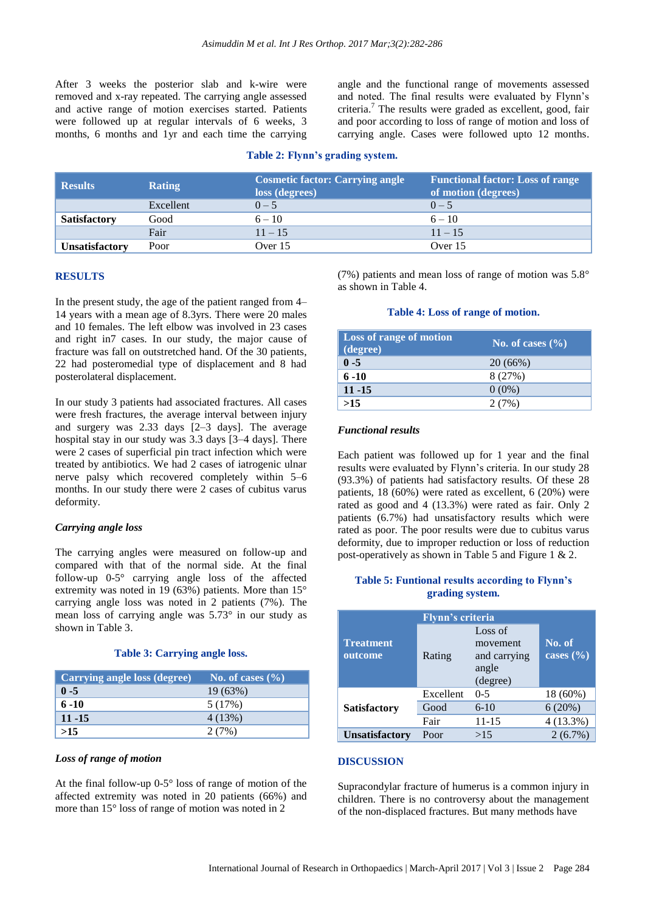After 3 weeks the posterior slab and k-wire were removed and x-ray repeated. The carrying angle assessed and active range of motion exercises started. Patients were followed up at regular intervals of 6 weeks, 3 months, 6 months and 1yr and each time the carrying angle and the functional range of movements assessed and noted. The final results were evaluated by Flynn's criteria. <sup>7</sup> The results were graded as excellent, good, fair and poor according to loss of range of motion and loss of carrying angle. Cases were followed upto 12 months.

### **Table 2: Flynn's grading system.**

| <b>Results</b>        | <b>Rating</b> | <b>Cosmetic factor: Carrying angle</b><br>loss (degrees) | <b>Functional factor: Loss of range</b><br>of motion (degrees) |  |
|-----------------------|---------------|----------------------------------------------------------|----------------------------------------------------------------|--|
|                       | Excellent     | $0 - 5$                                                  | $() - 5$                                                       |  |
| <b>Satisfactory</b>   | Good          | $6 - 10$                                                 | $6 - 10$                                                       |  |
|                       | Fair          | $11 - 15$                                                | $11 - 15$                                                      |  |
| <b>Unsatisfactory</b> | Poor          | Over $15$                                                | Over 15                                                        |  |

#### **RESULTS**

In the present study, the age of the patient ranged from 4– 14 years with a mean age of 8.3yrs. There were 20 males and 10 females. The left elbow was involved in 23 cases and right in7 cases. In our study, the major cause of fracture was fall on outstretched hand. Of the 30 patients, 22 had posteromedial type of displacement and 8 had posterolateral displacement.

In our study 3 patients had associated fractures. All cases were fresh fractures, the average interval between injury and surgery was 2.33 days [2–3 days]. The average hospital stay in our study was 3.3 days [3–4 days]. There were 2 cases of superficial pin tract infection which were treated by antibiotics. We had 2 cases of iatrogenic ulnar nerve palsy which recovered completely within 5–6 months. In our study there were 2 cases of cubitus varus deformity.

#### *Carrying angle loss*

The carrying angles were measured on follow-up and compared with that of the normal side. At the final follow-up 0-5° carrying angle loss of the affected extremity was noted in 19 (63%) patients. More than 15° carrying angle loss was noted in 2 patients (7%). The mean loss of carrying angle was 5.73° in our study as shown in Table 3.

## **Table 3: Carrying angle loss.**

| Carrying angle loss (degree) | No. of cases $(\% )$ |
|------------------------------|----------------------|
| $0 - 5$                      | 19 (63%)             |
| $6 - 10$                     | 5(17%)               |
| $11 - 15$                    | 4(13%)               |
| >15                          | 2(7%)                |

# *Loss of range of motion*

At the final follow-up 0-5° loss of range of motion of the affected extremity was noted in 20 patients (66%) and more than 15° loss of range of motion was noted in 2

(7%) patients and mean loss of range of motion was  $5.8^{\circ}$ as shown in Table 4.

#### **Table 4: Loss of range of motion.**

| <b>Loss of range of motion</b><br>$\overline{(\text{degree})}$ | No. of cases $(\%$ |
|----------------------------------------------------------------|--------------------|
| $0 - 5$                                                        | 20(66%)            |
| $6 - 10$                                                       | 8(27%)             |
| $11 - 15$                                                      | $0(0\%)$           |
| >15                                                            | 2(7%)              |

#### *Functional results*

Each patient was followed up for 1 year and the final results were evaluated by Flynn's criteria. In our study 28 (93.3%) of patients had satisfactory results. Of these 28 patients, 18 (60%) were rated as excellent, 6 (20%) were rated as good and 4 (13.3%) were rated as fair. Only 2 patients (6.7%) had unsatisfactory results which were rated as poor. The poor results were due to cubitus varus deformity, due to improper reduction or loss of reduction post-operatively as shown in Table 5 and Figure 1 & 2.

# **Table 5: Funtional results according to Flynn's grading system.**

| <b>Flynn's criteria</b>     |           |                                                          |                         |  |  |
|-----------------------------|-----------|----------------------------------------------------------|-------------------------|--|--|
| <b>Treatment</b><br>outcome | Rating    | Loss of<br>movement<br>and carrying<br>angle<br>(degree) | No. of<br>cases $(\% )$ |  |  |
| <b>Satisfactory</b>         | Excellent | $0 - 5$                                                  | 18 (60%)                |  |  |
|                             | Good      | $6-10$                                                   | 6(20%)                  |  |  |
|                             | Fair      | 11-15                                                    | $4(13.3\%)$             |  |  |
| <b>Unsatisfactory</b>       | Poor      | >15                                                      | $2(6.7\%)$              |  |  |

#### **DISCUSSION**

Supracondylar fracture of humerus is a common injury in children. There is no controversy about the management of the non-displaced fractures. But many methods have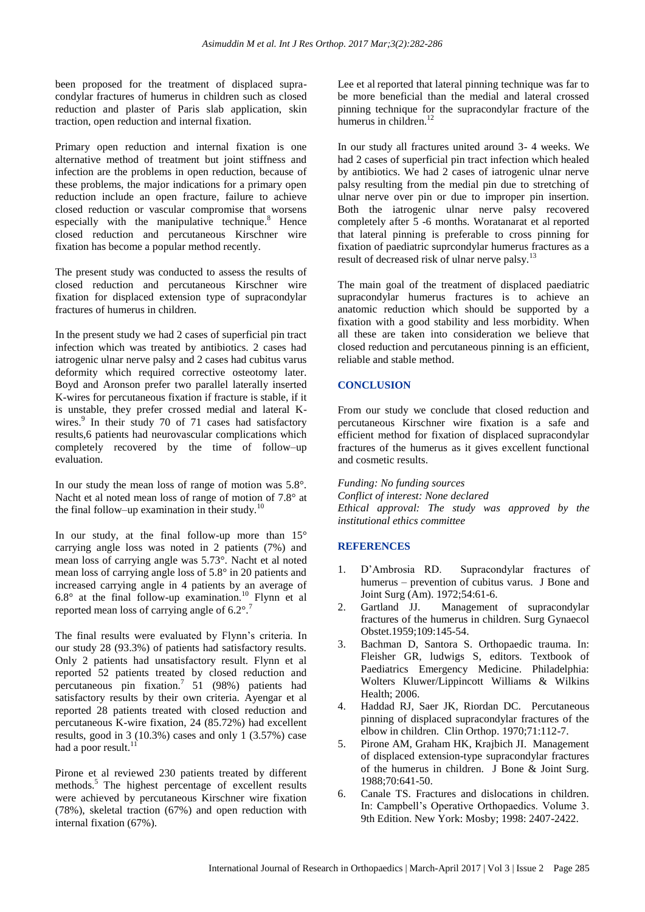been proposed for the treatment of displaced supracondylar fractures of humerus in children such as closed reduction and plaster of Paris slab application, skin traction, open reduction and internal fixation.

Primary open reduction and internal fixation is one alternative method of treatment but joint stiffness and infection are the problems in open reduction, because of these problems, the major indications for a primary open reduction include an open fracture, failure to achieve closed reduction or vascular compromise that worsens especially with the manipulative technique.<sup>8</sup> Hence closed reduction and percutaneous Kirschner wire fixation has become a popular method recently.

The present study was conducted to assess the results of closed reduction and percutaneous Kirschner wire fixation for displaced extension type of supracondylar fractures of humerus in children.

In the present study we had 2 cases of superficial pin tract infection which was treated by antibiotics. 2 cases had iatrogenic ulnar nerve palsy and 2 cases had cubitus varus deformity which required corrective osteotomy later. Boyd and Aronson prefer two parallel laterally inserted K-wires for percutaneous fixation if fracture is stable, if it is unstable, they prefer crossed medial and lateral Kwires.<sup>9</sup> In their study 70 of 71 cases had satisfactory results,6 patients had neurovascular complications which completely recovered by the time of follow–up evaluation.

In our study the mean loss of range of motion was 5.8°. Nacht et al noted mean loss of range of motion of 7.8° at the final follow–up examination in their study. $^{10}$ 

In our study, at the final follow-up more than  $15^{\circ}$ carrying angle loss was noted in 2 patients (7%) and mean loss of carrying angle was 5.73°. Nacht et al noted mean loss of carrying angle loss of 5.8° in 20 patients and increased carrying angle in 4 patients by an average of  $6.8^\circ$  at the final follow-up examination.<sup>10</sup> Flynn et al reported mean loss of carrying angle of 6.2°.<sup>7</sup>

The final results were evaluated by Flynn's criteria. In our study 28 (93.3%) of patients had satisfactory results. Only 2 patients had unsatisfactory result. Flynn et al reported 52 patients treated by closed reduction and percutaneous pin fixation.<sup>7</sup> 51 (98%) patients had satisfactory results by their own criteria. Ayengar et al reported 28 patients treated with closed reduction and percutaneous K-wire fixation, 24 (85.72%) had excellent results, good in 3 (10.3%) cases and only 1 (3.57%) case had a poor result.<sup>11</sup>

Pirone et al reviewed 230 patients treated by different methods.<sup>5</sup> The highest percentage of excellent results were achieved by percutaneous Kirschner wire fixation (78%), skeletal traction (67%) and open reduction with internal fixation (67%).

Lee et al reported that lateral pinning technique was far to be more beneficial than the medial and lateral crossed pinning technique for the supracondylar fracture of the humerus in children.<sup>12</sup>

In our study all fractures united around 3- 4 weeks. We had 2 cases of superficial pin tract infection which healed by antibiotics. We had 2 cases of iatrogenic ulnar nerve palsy resulting from the medial pin due to stretching of ulnar nerve over pin or due to improper pin insertion. Both the iatrogenic ulnar nerve palsy recovered completely after 5 -6 months. Woratanarat et al reported that lateral pinning is preferable to cross pinning for fixation of paediatric suprcondylar humerus fractures as a result of decreased risk of ulnar nerve palsy.<sup>13</sup>

The main goal of the treatment of displaced paediatric supracondylar humerus fractures is to achieve an anatomic reduction which should be supported by a fixation with a good stability and less morbidity. When all these are taken into consideration we believe that closed reduction and percutaneous pinning is an efficient, reliable and stable method.

# **CONCLUSION**

From our study we conclude that closed reduction and percutaneous Kirschner wire fixation is a safe and efficient method for fixation of displaced supracondylar fractures of the humerus as it gives excellent functional and cosmetic results.

*Funding: No funding sources Conflict of interest: None declared Ethical approval: The study was approved by the institutional ethics committee*

#### **REFERENCES**

- 1. D'Ambrosia RD. Supracondylar fractures of humerus – prevention of cubitus varus. J Bone and Joint Surg (Am). 1972;54:61-6.
- 2. Gartland JJ. Management of supracondylar fractures of the humerus in children. Surg Gynaecol Obstet.1959;109:145-54.
- 3. Bachman D, Santora S. Orthopaedic trauma. In: Fleisher GR, ludwigs S, editors. Textbook of Paediatrics Emergency Medicine. Philadelphia: Wolters Kluwer/Lippincott Williams & Wilkins Health; 2006.
- 4. Haddad RJ, Saer JK, Riordan DC. Percutaneous pinning of displaced supracondylar fractures of the elbow in children. Clin Orthop. 1970;71:112-7.
- 5. Pirone AM, Graham HK, Krajbich JI. Management of displaced extension-type supracondylar fractures of the humerus in children. J Bone & Joint Surg. 1988;70:641-50.
- 6. Canale TS. Fractures and dislocations in children. In: Campbell's Operative Orthopaedics. Volume 3. 9th Edition. New York: Mosby; 1998: 2407-2422.